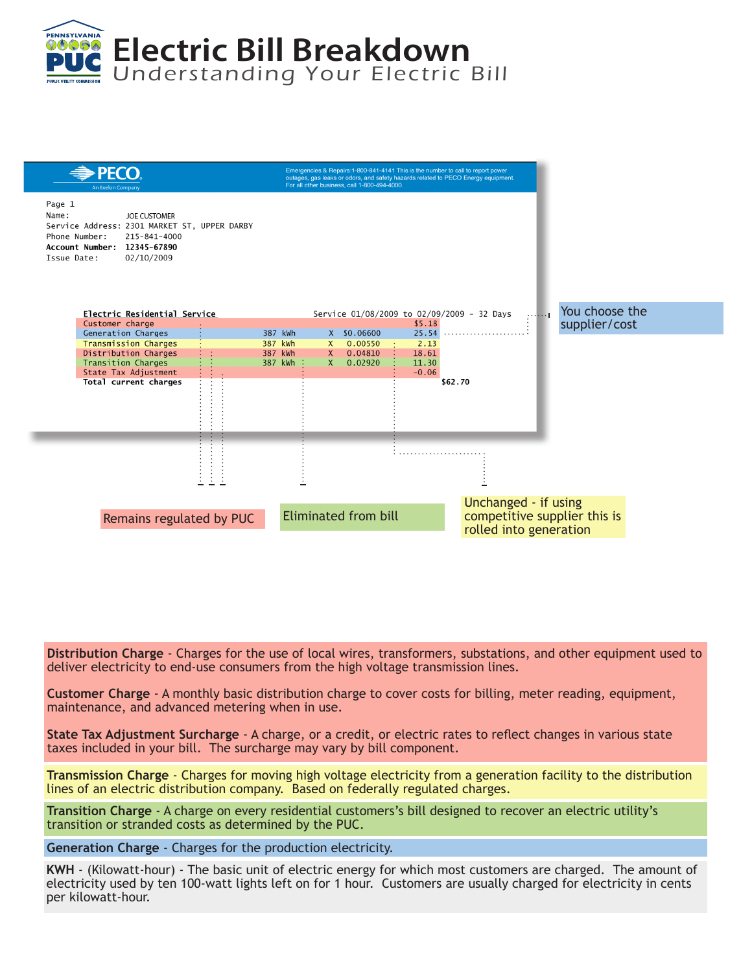



**Distribution Charge** - Charges for the use of local wires, transformers, substations, and other equipment used to deliver electricity to end-use consumers from the high voltage transmission lines.

**Customer Charge** - A monthly basic distribution charge to cover costs for billing, meter reading, equipment, maintenance, and advanced metering when in use.

**State Tax Adjustment Surcharge** - A charge, or a credit, or electric rates to reflect changes in various state taxes included in your bill. The surcharge may vary by bill component.

**Transmission Charge** - Charges for moving high voltage electricity from a generation facility to the distribution lines of an electric distribution company. Based on federally regulated charges.

**Transition Charge** - A charge on every residential customers's bill designed to recover an electric utility's transition or stranded costs as determined by the PUC.

**Generation Charge** - Charges for the production electricity.

**KWH** - (Kilowatt-hour) - The basic unit of electric energy for which most customers are charged. The amount of electricity used by ten 100-watt lights left on for 1 hour. Customers are usually charged for electricity in cents per kilowatt-hour.